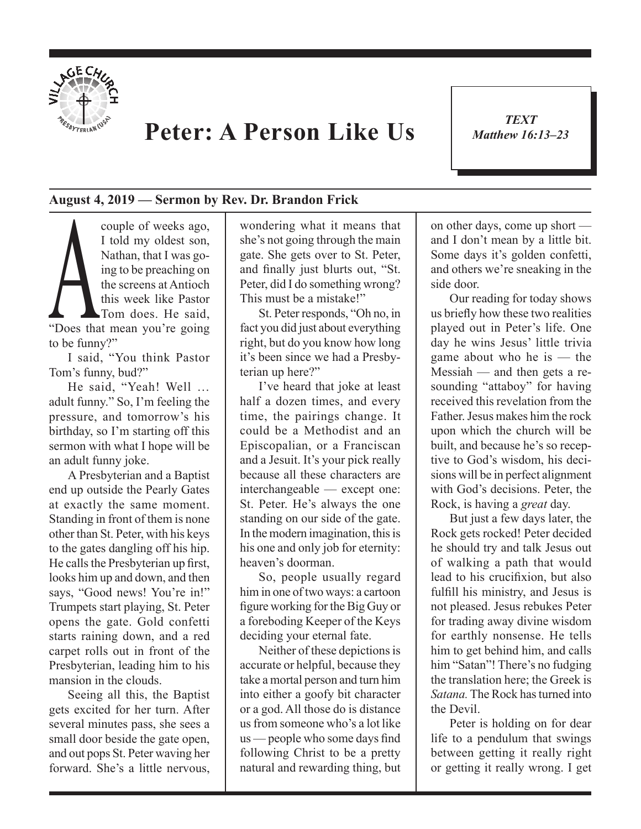

## **Peter: A Person Like Us**

*TEXT Matthew 16:13–23* 1

## **August 4, 2019 — Sermon by Rev. Dr. Brandon Frick**

Couple of weeks ago,<br>
I told my oldest son,<br>
Nathan, that I was going to be preaching on<br>
the screens at Antioch<br>
this week like Pastor<br>
Tom does. He said,<br>
"Does that mean you're going I told my oldest son, Nathan, that I was going to be preaching on the screens at Antioch this week like Pastor Tom does. He said, to be funny?"

I said, "You think Pastor Tom's funny, bud?"

He said, "Yeah! Well … adult funny." So, I'm feeling the pressure, and tomorrow's his birthday, so I'm starting off this sermon with what I hope will be an adult funny joke.

A Presbyterian and a Baptist end up outside the Pearly Gates at exactly the same moment. Standing in front of them is none other than St. Peter, with his keys to the gates dangling off his hip. He calls the Presbyterian up first, looks him up and down, and then says, "Good news! You're in!" Trumpets start playing, St. Peter opens the gate. Gold confetti starts raining down, and a red carpet rolls out in front of the Presbyterian, leading him to his mansion in the clouds.

Seeing all this, the Baptist gets excited for her turn. After several minutes pass, she sees a small door beside the gate open, and out pops St. Peter waving her forward. She's a little nervous,

wondering what it means that she's not going through the main gate. She gets over to St. Peter, and finally just blurts out, "St. Peter, did I do something wrong? This must be a mistake!"

St. Peter responds, "Oh no, in fact you did just about everything right, but do you know how long it's been since we had a Presbyterian up here?"

I've heard that joke at least half a dozen times, and every time, the pairings change. It could be a Methodist and an Episcopalian, or a Franciscan and a Jesuit. It's your pick really because all these characters are interchangeable — except one: St. Peter. He's always the one standing on our side of the gate. In the modern imagination, this is his one and only job for eternity: heaven's doorman.

So, people usually regard him in one of two ways: a cartoon figure working for the Big Guy or a foreboding Keeper of the Keys deciding your eternal fate.

Neither of these depictions is accurate or helpful, because they take a mortal person and turn him into either a goofy bit character or a god. All those do is distance us from someone who's a lot like us — people who some days find following Christ to be a pretty natural and rewarding thing, but on other days, come up short and I don't mean by a little bit. Some days it's golden confetti, and others we're sneaking in the side door.

Our reading for today shows us briefly how these two realities played out in Peter's life. One day he wins Jesus' little trivia game about who he is — the Messiah — and then gets a resounding "attaboy" for having received this revelation from the Father. Jesus makes him the rock upon which the church will be built, and because he's so receptive to God's wisdom, his decisions will be in perfect alignment with God's decisions. Peter, the Rock, is having a *great* day.

But just a few days later, the Rock gets rocked! Peter decided he should try and talk Jesus out of walking a path that would lead to his crucifixion, but also fulfill his ministry, and Jesus is not pleased. Jesus rebukes Peter for trading away divine wisdom for earthly nonsense. He tells him to get behind him, and calls him "Satan"! There's no fudging the translation here; the Greek is *Satana.* The Rock has turned into the Devil.

Peter is holding on for dear life to a pendulum that swings between getting it really right or getting it really wrong. I get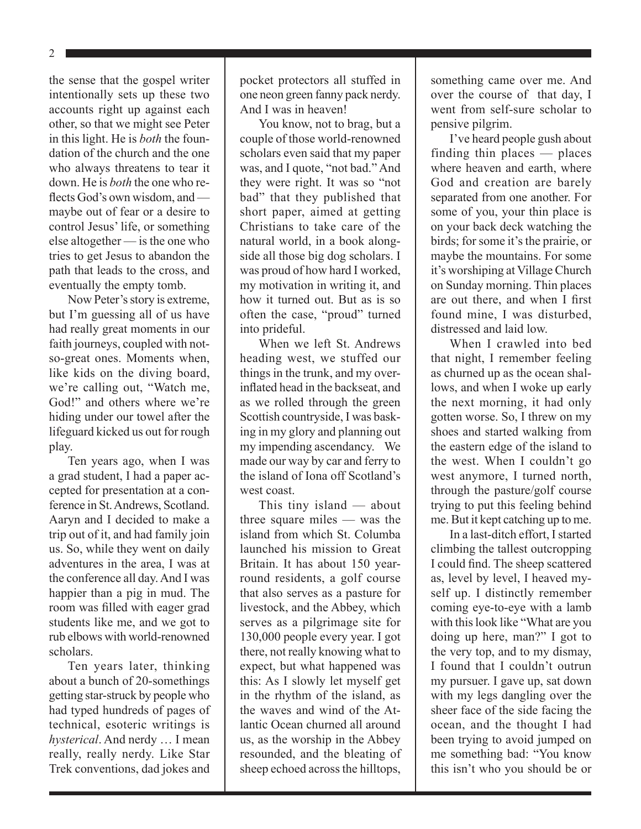2

the sense that the gospel writer intentionally sets up these two accounts right up against each other, so that we might see Peter in this light. He is *both* the foundation of the church and the one who always threatens to tear it down. He is *both* the one who reflects God's own wisdom, and maybe out of fear or a desire to control Jesus' life, or something else altogether — is the one who tries to get Jesus to abandon the path that leads to the cross, and eventually the empty tomb.

Now Peter's story is extreme, but I'm guessing all of us have had really great moments in our faith journeys, coupled with notso-great ones. Moments when, like kids on the diving board, we're calling out, "Watch me, God!" and others where we're hiding under our towel after the lifeguard kicked us out for rough play.

Ten years ago, when I was a grad student, I had a paper accepted for presentation at a conference in St. Andrews, Scotland. Aaryn and I decided to make a trip out of it, and had family join us. So, while they went on daily adventures in the area, I was at the conference all day. And I was happier than a pig in mud. The room was filled with eager grad students like me, and we got to rub elbows with world-renowned scholars.

Ten years later, thinking about a bunch of 20-somethings getting star-struck by people who had typed hundreds of pages of technical, esoteric writings is *hysterical*. And nerdy … I mean really, really nerdy. Like Star Trek conventions, dad jokes and pocket protectors all stuffed in one neon green fanny pack nerdy. And I was in heaven!

You know, not to brag, but a couple of those world-renowned scholars even said that my paper was, and I quote, "not bad." And they were right. It was so "not bad" that they published that short paper, aimed at getting Christians to take care of the natural world, in a book alongside all those big dog scholars. I was proud of how hard I worked, my motivation in writing it, and how it turned out. But as is so often the case, "proud" turned into prideful.

When we left St. Andrews heading west, we stuffed our things in the trunk, and my overinflated head in the backseat, and as we rolled through the green Scottish countryside, I was basking in my glory and planning out my impending ascendancy. We made our way by car and ferry to the island of Iona off Scotland's west coast.

This tiny island — about three square miles — was the island from which St. Columba launched his mission to Great Britain. It has about 150 yearround residents, a golf course that also serves as a pasture for livestock, and the Abbey, which serves as a pilgrimage site for 130,000 people every year. I got there, not really knowing what to expect, but what happened was this: As I slowly let myself get in the rhythm of the island, as the waves and wind of the Atlantic Ocean churned all around us, as the worship in the Abbey resounded, and the bleating of sheep echoed across the hilltops,

something came over me. And over the course of that day, I went from self-sure scholar to pensive pilgrim.

I've heard people gush about finding thin places — places where heaven and earth, where God and creation are barely separated from one another. For some of you, your thin place is on your back deck watching the birds; for some it's the prairie, or maybe the mountains. For some it's worshiping at Village Church on Sunday morning. Thin places are out there, and when I first found mine, I was disturbed, distressed and laid low.

When I crawled into bed that night, I remember feeling as churned up as the ocean shallows, and when I woke up early the next morning, it had only gotten worse. So, I threw on my shoes and started walking from the eastern edge of the island to the west. When I couldn't go west anymore, I turned north, through the pasture/golf course trying to put this feeling behind me. But it kept catching up to me.

In a last-ditch effort, I started climbing the tallest outcropping I could find. The sheep scattered as, level by level, I heaved myself up. I distinctly remember coming eye-to-eye with a lamb with this look like "What are you doing up here, man?" I got to the very top, and to my dismay, I found that I couldn't outrun my pursuer. I gave up, sat down with my legs dangling over the sheer face of the side facing the ocean, and the thought I had been trying to avoid jumped on me something bad: "You know this isn't who you should be or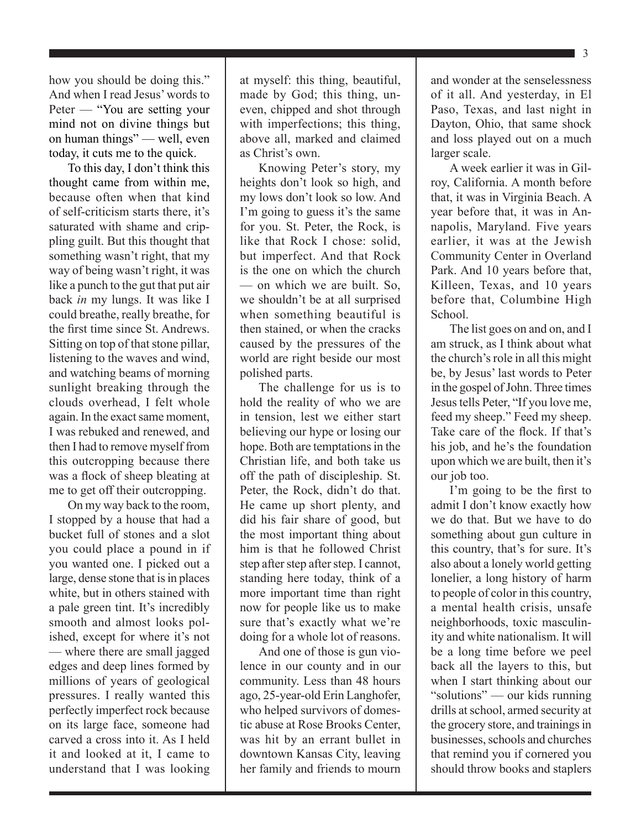how you should be doing this." And when I read Jesus' words to Peter — "You are setting your mind not on divine things but on human things" — well, even today, it cuts me to the quick.

To this day, I don't think this thought came from within me, because often when that kind of self-criticism starts there, it's saturated with shame and crippling guilt. But this thought that something wasn't right, that my way of being wasn't right, it was like a punch to the gut that put air back *in* my lungs. It was like I could breathe, really breathe, for the first time since St. Andrews. Sitting on top of that stone pillar, listening to the waves and wind, and watching beams of morning sunlight breaking through the clouds overhead, I felt whole again. In the exact same moment, I was rebuked and renewed, and then I had to remove myself from this outcropping because there was a flock of sheep bleating at me to get off their outcropping.

On my way back to the room, I stopped by a house that had a bucket full of stones and a slot you could place a pound in if you wanted one. I picked out a large, dense stone that is in places white, but in others stained with a pale green tint. It's incredibly smooth and almost looks polished, except for where it's not — where there are small jagged edges and deep lines formed by millions of years of geological pressures. I really wanted this perfectly imperfect rock because on its large face, someone had carved a cross into it. As I held it and looked at it, I came to understand that I was looking

at myself: this thing, beautiful, made by God; this thing, uneven, chipped and shot through with imperfections; this thing, above all, marked and claimed as Christ's own.

Knowing Peter's story, my heights don't look so high, and my lows don't look so low. And I'm going to guess it's the same for you. St. Peter, the Rock, is like that Rock I chose: solid, but imperfect. And that Rock is the one on which the church — on which we are built. So, we shouldn't be at all surprised when something beautiful is then stained, or when the cracks caused by the pressures of the world are right beside our most polished parts.

The challenge for us is to hold the reality of who we are in tension, lest we either start believing our hype or losing our hope. Both are temptations in the Christian life, and both take us off the path of discipleship. St. Peter, the Rock, didn't do that. He came up short plenty, and did his fair share of good, but the most important thing about him is that he followed Christ step after step after step. I cannot, standing here today, think of a more important time than right now for people like us to make sure that's exactly what we're doing for a whole lot of reasons.

And one of those is gun violence in our county and in our community. Less than 48 hours ago, 25-year-old Erin Langhofer, who helped survivors of domestic abuse at Rose Brooks Center, was hit by an errant bullet in downtown Kansas City, leaving her family and friends to mourn and wonder at the senselessness of it all. And yesterday, in El Paso, Texas, and last night in Dayton, Ohio, that same shock and loss played out on a much larger scale.

A week earlier it was in Gilroy, California. A month before that, it was in Virginia Beach. A year before that, it was in Annapolis, Maryland. Five years earlier, it was at the Jewish Community Center in Overland Park. And 10 years before that, Killeen, Texas, and 10 years before that, Columbine High School.

The list goes on and on, and I am struck, as I think about what the church's role in all this might be, by Jesus' last words to Peter in the gospel of John. Three times Jesus tells Peter, "If you love me, feed my sheep." Feed my sheep. Take care of the flock. If that's his job, and he's the foundation upon which we are built, then it's our job too.

I'm going to be the first to admit I don't know exactly how we do that. But we have to do something about gun culture in this country, that's for sure. It's also about a lonely world getting lonelier, a long history of harm to people of color in this country, a mental health crisis, unsafe neighborhoods, toxic masculinity and white nationalism. It will be a long time before we peel back all the layers to this, but when I start thinking about our "solutions" — our kids running drills at school, armed security at the grocery store, and trainings in businesses, schools and churches that remind you if cornered you should throw books and staplers